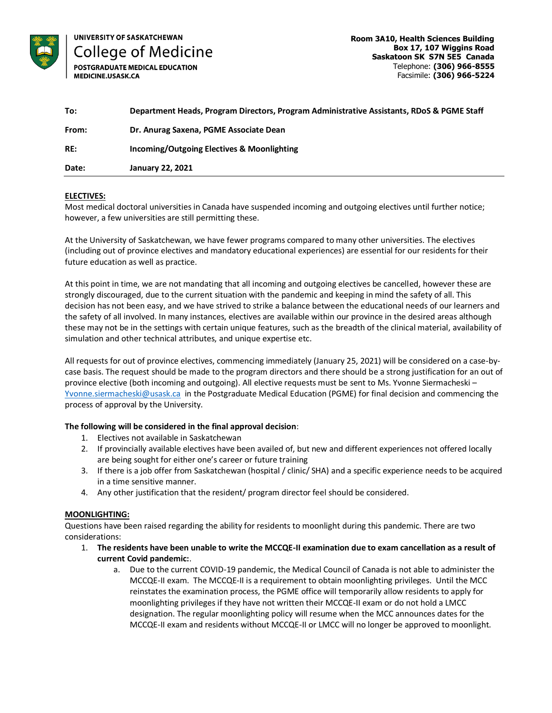

UNIVERSITY OF SASKATCHEWAN **College of Medicine** 

POSTGRADUATE MEDICAL EDUCATION MEDICINE.USASK.CA

| To:   | Department Heads, Program Directors, Program Administrative Assistants, RDoS & PGME Staff |
|-------|-------------------------------------------------------------------------------------------|
| From: | Dr. Anurag Saxena, PGME Associate Dean                                                    |
| RE:   | Incoming/Outgoing Electives & Moonlighting                                                |
| Date: | <b>January 22, 2021</b>                                                                   |

# **ELECTIVES:**

Most medical doctoral universities in Canada have suspended incoming and outgoing electives until further notice; however, a few universities are still permitting these.

At the University of Saskatchewan, we have fewer programs compared to many other universities. The electives (including out of province electives and mandatory educational experiences) are essential for our residents for their future education as well as practice.

At this point in time, we are not mandating that all incoming and outgoing electives be cancelled, however these are strongly discouraged, due to the current situation with the pandemic and keeping in mind the safety of all. This decision has not been easy, and we have strived to strike a balance between the educational needs of our learners and the safety of all involved. In many instances, electives are available within our province in the desired areas although these may not be in the settings with certain unique features, such as the breadth of the clinical material, availability of simulation and other technical attributes, and unique expertise etc.

All requests for out of province electives, commencing immediately (January 25, 2021) will be considered on a case-bycase basis. The request should be made to the program directors and there should be a strong justification for an out of province elective (both incoming and outgoing). All elective requests must be sent to Ms. Yvonne Siermacheski – [Yvonne.siermacheski@usask.ca](mailto:Yvonne.siermacheski@usask.ca) in the Postgraduate Medical Education (PGME) for final decision and commencing the process of approval by the University.

# **The following will be considered in the final approval decision**:

- 1. Electives not available in Saskatchewan
- 2. If provincially available electives have been availed of, but new and different experiences not offered locally are being sought for either one's career or future training
- 3. If there is a job offer from Saskatchewan (hospital / clinic/ SHA) and a specific experience needs to be acquired in a time sensitive manner.
- 4. Any other justification that the resident/ program director feel should be considered.

# **MOONLIGHTING:**

Questions have been raised regarding the ability for residents to moonlight during this pandemic. There are two considerations:

- 1. **The residents have been unable to write the MCCQE-II examination due to exam cancellation as a result of current Covid pandemic:**.
	- a. Due to the current COVID-19 pandemic, the Medical Council of Canada is not able to administer the MCCQE-II exam. The MCCQE-II is a requirement to obtain moonlighting privileges. Until the MCC reinstates the examination process, the PGME office will temporarily allow residents to apply for moonlighting privileges if they have not written their MCCQE-II exam or do not hold a LMCC designation. The regular moonlighting policy will resume when the MCC announces dates for the MCCQE-II exam and residents without MCCQE-II or LMCC will no longer be approved to moonlight.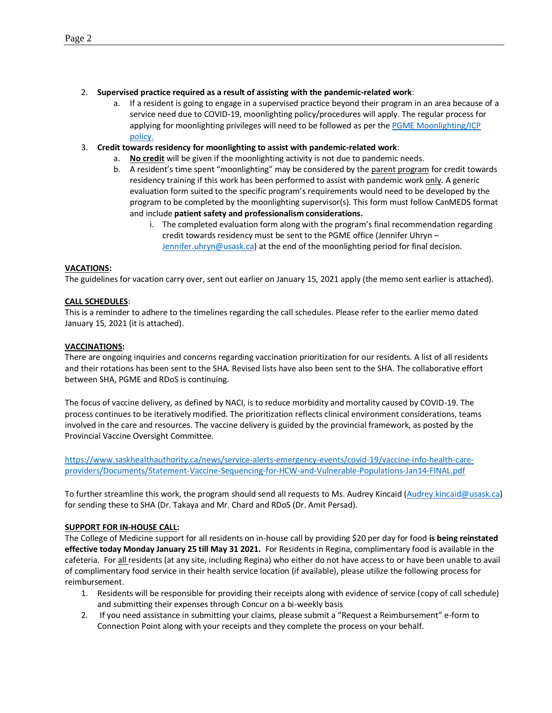# 2. **Supervised practice required as a result of assisting with the pandemic-related work**:

- a. If a resident is going to engage in a supervised practice beyond their program in an area because of a service need due to COVID-19, moonlighting policy/procedures will apply. The regular process for applying for moonlighting privileges will need to be followed as per the PGME Moonlighting/ICP [policy.](https://medicine.usask.ca/policies/moonlighting-and-independent-clinical-practice.php)
- 3. **Credit towards residency for moonlighting to assist with pandemic-related work**:
	- a. **No credit** will be given if the moonlighting activity is not due to pandemic needs.
	- b. A resident's time spent "moonlighting" may be considered by the parent program for credit towards residency training if this work has been performed to assist with pandemic work only. A generic evaluation form suited to the specific program's requirements would need to be developed by the program to be completed by the moonlighting supervisor(s). This form must follow CanMEDS format and include **patient safety and professionalism considerations.**
		- i. The completed evaluation form along with the program's final recommendation regarding credit towards residency must be sent to the PGME office (Jennifer Uhryn – [Jennifer.uhryn@usask.ca\)](mailto:Jennifer.uhryn@usask.ca) at the end of the moonlighting period for final decision.

## **VACATIONS:**

The guidelines for vacation carry over, sent out earlier on January 15, 2021 apply (the memo sent earlier is attached).

## **CALL SCHEDULES**:

This is a reminder to adhere to the timelines regarding the call schedules. Please refer to the earlier memo dated January 15, 2021 (it is attached).

#### **VACCINATIONS:**

There are ongoing inquiries and concerns regarding vaccination prioritization for our residents. A list of all residents and their rotations has been sent to the SHA. Revised lists have also been sent to the SHA. The collaborative effort between SHA, PGME and RDoS is continuing.

The focus of vaccine delivery, as defined by NACI, is to reduce morbidity and mortality caused by COVID-19. The process continues to be iteratively modified. The prioritization reflects clinical environment considerations, teams involved in the care and resources. The vaccine delivery is guided by the provincial framework, as posted by the Provincial Vaccine Oversight Committee.

[https://www.saskhealthauthority.ca/news/service-alerts-emergency-events/covid-19/vaccine-info-health-care](https://www.saskhealthauthority.ca/news/service-alerts-emergency-events/covid-19/vaccine-info-health-care-providers/Documents/Statement-Vaccine-Sequencing-for-HCW-and-Vulnerable-Populations-Jan14-FINAL.pdf)[providers/Documents/Statement-Vaccine-Sequencing-for-HCW-and-Vulnerable-Populations-Jan14-FINAL.pdf](https://www.saskhealthauthority.ca/news/service-alerts-emergency-events/covid-19/vaccine-info-health-care-providers/Documents/Statement-Vaccine-Sequencing-for-HCW-and-Vulnerable-Populations-Jan14-FINAL.pdf)

To further streamline this work, the program should send all requests to Ms. Audrey Kincaid [\(Audrey.kincaid@usask.ca\)](mailto:Audrey.kincaid@usask.ca) for sending these to SHA (Dr. Takaya and Mr. Chard and RDoS (Dr. Amit Persad).

#### **SUPPORT FOR IN-HOUSE CALL:**

The College of Medicine support for all residents on in-house call by providing \$20 per day for food **is being reinstated effective today Monday January 25 till May 31 2021.** For Residents in Regina, complimentary food is available in the cafeteria. For all residents (at any site, including Regina) who either do not have access to or have been unable to avail of complimentary food service in their health service location (if available), please utilize the following process for reimbursement.

- 1. Residents will be responsible for providing their receipts along with evidence of service (copy of call schedule) and submitting their expenses through Concur on a bi-weekly basis
- 2. If you need assistance in submitting your claims, please submit a "Request a Reimbursement" e-form to Connection Point along with your receipts and they complete the process on your behalf.